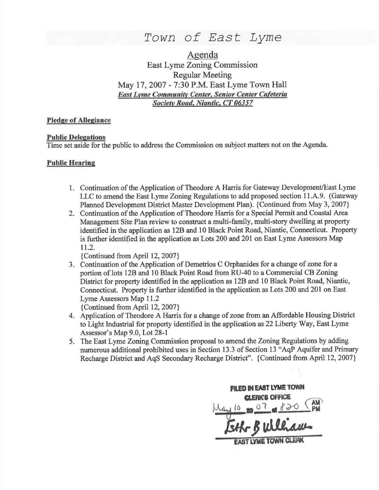# Town of East Lyme

Agenda East Lyme Zoning Commission Regular Meeting May 17 , 2007 - 7:30 P.M. Fast Lyme Town Hall East Lyme Community Center, Senior Center Cafeteria Socictv Road. Niantic, CT 06357

### Pledge of Allegiance

#### **Public Delegations**

Time set aside for the public to address the Commission on subject matters not on the Agenda.

### Public Hearine

- 1. Continuation of the Application of Theodore A Harris for Gateway Development/East Lyme LLC to amend the East Lyme Zoning Regulations to add proposed section 11.A.9. (Gateway Planned Development District Master Development Plan). {Continued from May 3, 2007}
- 2. Continuation of the Application of Theodore Harris for a Special Permit and Coastal Area Management Site Plan review to construct a multi-family, multi-story dwelling at property identified in the application as l2B and 10 Black Point Road, Niantic, Connecticut. Property is further identified in the application as Lots 200 and 201 on East Lyme Assessors Map 11.2.

{Continued from April 12,2007}

3. Continuation of the Application of Demetrios C Orphanides for a change of zone for <sup>a</sup> portion of lots 12B and 10 Black Point Road from RU-40 to a Commercial CB Zoning District for property identified in the application as 12B and 10 Black Point Road, Niantic, Connecticut. Property is firther identified in the application as Lots 200 and 201 on East Lyme Assessors Map 11.2

{Continued from April 12,2007}

- 4. Application of Theodore A Harris for a change of zone from an Affordable Housing District to Light Industial for property identified in the application as 22 Liberty Way, East Lyme Assessor's Map 9.0, Lot 28-1
- 5. The East Lyme Zoning Commission proposal to amend the Zoning Regulations by adding numerous additional prohibited uses in Section 13.3 of Section 13 "AqP Aquifer and Primary Recharge District and AqS Secondary Recharge District". {Continued from April 12, 2007}

**FILED IN EAST LYME TOWN** clerk's office wlliaus to